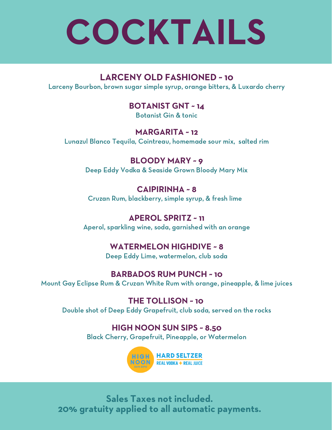# **COCKTAILS**

### **LARCENY OLD FASHIONED ~ 10**

Larceny Bourbon, brown sugar simple syrup, orange bitters, & Luxardo cherry

### **BOTANIST GNT ~ 14**

Botanist Gin & tonic

#### **MARGARITA ~ 12**

Lunazul Blanco Tequila, Cointreau, homemade sour mix, salted rim

### **BLOODY MARY ~ 9**

Deep Eddy Vodka & Seaside Grown Bloody Mary Mix

### **CAIPIRINHA ~ 8**

Cruzan Rum, blackberry, simple syrup, & fresh lime

### **APEROL SPRITZ ~ 11**

Aperol, sparkling wine, soda, garnished with an orange

### **WATERMELON HIGHDIVE ~ 8**

Deep Eddy Lime, watermelon, club soda

#### **BARBADOS RUM PUNCH ~ 10**

Mount Gay Eclipse Rum & Cruzan White Rum with orange, pineapple, & lime juices

**THE TOLLISON ~ 10** Double shot of Deep Eddy Grapefruit, club soda, served on the rocks

### **HIGH NOON SUN SIPS ~ 8.50**

Black Cherry, Grapefruit, Pineapple, or Watermelon



**Sales Taxes not included. 20% gratuity applied to all automatic payments.**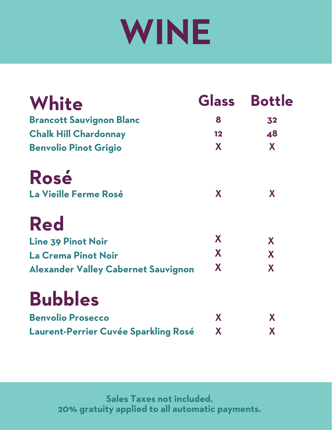# **WINE**

| White                                      |    | Glass Bottle |
|--------------------------------------------|----|--------------|
| <b>Brancott Sauvignon Blanc</b>            | 8  | 32           |
| <b>Chalk Hill Chardonnay</b>               | 12 | 48           |
| <b>Benvolio Pinot Grigio</b>               | X  | X            |
| Rosé                                       |    |              |
| La Vieille Ferme Rosé                      | X  | X            |
| <b>Red</b>                                 |    |              |
| <b>Line 39 Pinot Noir</b>                  | X  | X            |
| La Crema Pinot Noir                        | X  | X            |
| <b>Alexander Valley Cabernet Sauvignon</b> | X  | X            |
| <b>Bubbles</b>                             |    |              |
| <b>Benvolio Prosecco</b>                   | X  | X            |
| Laurent-Perrier Cuvée Sparkling Rosé       | X  | X            |

**Sales Taxes not included. 20% gratuity applied to all automatic payments.**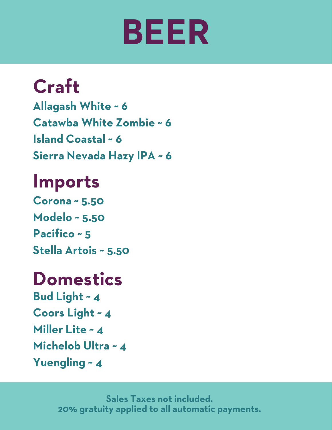# **BEER**

### **Craft**

**Allagash White ~ 6 Catawba White Zombie ~ 6 Island Coastal ~ 6 Sierra Nevada Hazy IPA ~ 6**

### **Imports**

**Corona ~ 5.50 Modelo ~ 5.50 Pacifico ~ 5 Stella Artois ~ 5.50**

### **Domestics**

**Bud Light ~ 4 Coors Light ~ 4 Miller Lite ~ 4 Michelob Ultra ~ 4 Yuengling ~ 4**

> **Sales Taxes not included. 20% gratuity applied to all automatic payments.**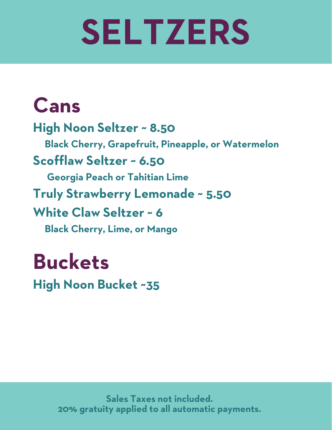# **SELTZERS**

## **Cans**

**High Noon Seltzer ~ 8.50 Black Cherry, Grapefruit, Pineapple, or Watermelon Scofflaw Seltzer ~ 6.50 Georgia Peach or Tahitian Lime Truly Strawberry Lemonade ~ 5.50 White Claw Seltzer ~ 6 Black Cherry, Lime, or Mango**

## **Buckets**

**High Noon Bucket ~35**